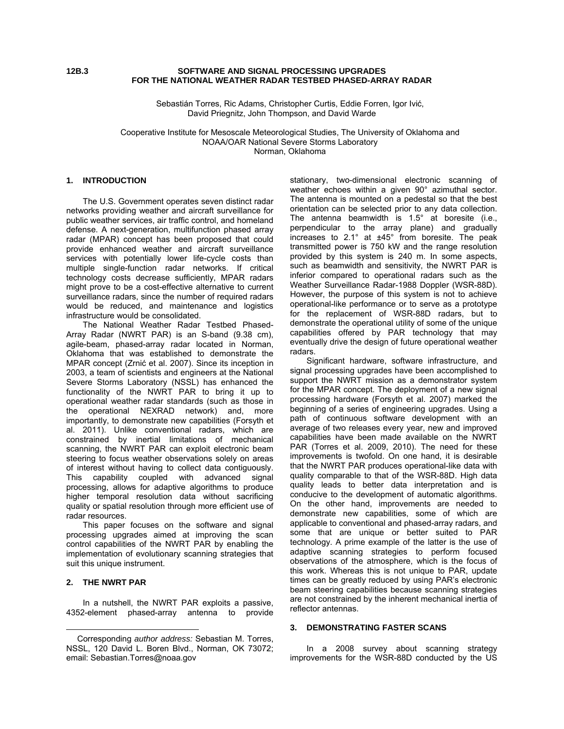### **12B.3 SOFTWARE AND SIGNAL PROCESSING UPGRADES FOR THE NATIONAL WEATHER RADAR TESTBED PHASED-ARRAY RADAR**

Sebastián Torres, Ric Adams, Christopher Curtis, Eddie Forren, Igor Ivić, David Priegnitz, John Thompson, and David Warde

Cooperative Institute for Mesoscale Meteorological Studies, The University of Oklahoma and NOAA/OAR National Severe Storms Laboratory Norman, Oklahoma

#### **1. INTRODUCTION**

The U.S. Government operates seven distinct radar networks providing weather and aircraft surveillance for public weather services, air traffic control, and homeland defense. A next-generation, multifunction phased array radar (MPAR) concept has been proposed that could provide enhanced weather and aircraft surveillance services with potentially lower life-cycle costs than multiple single-function radar networks. If critical technology costs decrease sufficiently, MPAR radars might prove to be a cost-effective alternative to current surveillance radars, since the number of required radars would be reduced, and maintenance and logistics infrastructure would be consolidated.

The National Weather Radar Testbed Phased-Array Radar (NWRT PAR) is an S-band (9.38 cm), agile-beam, phased-array radar located in Norman, Oklahoma that was established to demonstrate the MPAR concept (Zrnić et al. 2007). Since its inception in 2003, a team of scientists and engineers at the National Severe Storms Laboratory (NSSL) has enhanced the functionality of the NWRT PAR to bring it up to operational weather radar standards (such as those in the operational NEXRAD network) and, more importantly, to demonstrate new capabilities (Forsyth et al. 2011). Unlike conventional radars, which are constrained by inertial limitations of mechanical scanning, the NWRT PAR can exploit electronic beam steering to focus weather observations solely on areas of interest without having to collect data contiguously. This capability coupled with advanced signal processing, allows for adaptive algorithms to produce higher temporal resolution data without sacrificing quality or spatial resolution through more efficient use of radar resources.

This paper focuses on the software and signal processing upgrades aimed at improving the scan control capabilities of the NWRT PAR by enabling the implementation of evolutionary scanning strategies that suit this unique instrument.

# **2. THE NWRT PAR**

 $\overline{a}$ 

In a nutshell, the NWRT PAR exploits a passive,<br>2-element phased-array antenna to provide 4352-element phased-array antenna to

stationary, two-dimensional electronic scanning of weather echoes within a given 90° azimuthal sector. The antenna is mounted on a pedestal so that the best orientation can be selected prior to any data collection. The antenna beamwidth is 1.5° at boresite (i.e., perpendicular to the array plane) and gradually increases to 2.1° at ±45° from boresite. The peak transmitted power is 750 kW and the range resolution provided by this system is 240 m. In some aspects, such as beamwidth and sensitivity, the NWRT PAR is inferior compared to operational radars such as the Weather Surveillance Radar-1988 Doppler (WSR-88D). However, the purpose of this system is not to achieve operational-like performance or to serve as a prototype for the replacement of WSR-88D radars, but to demonstrate the operational utility of some of the unique capabilities offered by PAR technology that may eventually drive the design of future operational weather radars.

Significant hardware, software infrastructure, and signal processing upgrades have been accomplished to support the NWRT mission as a demonstrator system for the MPAR concept. The deployment of a new signal processing hardware (Forsyth et al. 2007) marked the beginning of a series of engineering upgrades. Using a path of continuous software development with an average of two releases every year, new and improved capabilities have been made available on the NWRT PAR (Torres et al. 2009, 2010). The need for these improvements is twofold. On one hand, it is desirable that the NWRT PAR produces operational-like data with quality comparable to that of the WSR-88D. High data quality leads to better data interpretation and is conducive to the development of automatic algorithms. On the other hand, improvements are needed to demonstrate new capabilities, some of which are applicable to conventional and phased-array radars, and some that are unique or better suited to PAR technology. A prime example of the latter is the use of adaptive scanning strategies to perform focused observations of the atmosphere, which is the focus of this work. Whereas this is not unique to PAR, update times can be greatly reduced by using PAR's electronic beam steering capabilities because scanning strategies are not constrained by the inherent mechanical inertia of reflector antennas.

#### **3. DEMONSTRATING FASTER SCANS**

In a 2008 survey about scanning strategy improvements for the WSR-88D conducted by the US

Corresponding *author address:* Sebastian M. Torres, NSSL, 120 David L. Boren Blvd., Norman, OK 73072; email: Sebastian.Torres@noaa.gov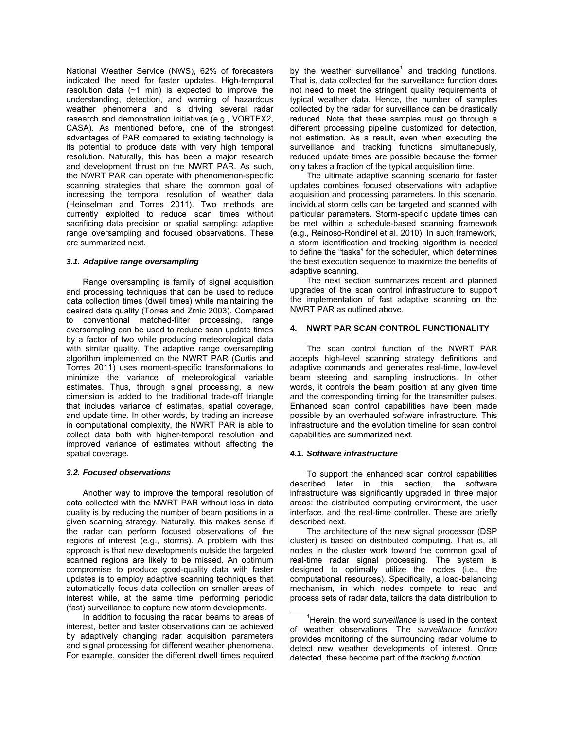National Weather Service (NWS), 62% of forecasters indicated the need for faster updates. High-temporal resolution data  $(-1 \text{ min})$  is expected to improve the understanding, detection, and warning of hazardous weather phenomena and is driving several radar research and demonstration initiatives (e.g., VORTEX2, CASA). As mentioned before, one of the strongest advantages of PAR compared to existing technology is its potential to produce data with very high temporal resolution. Naturally, this has been a major research and development thrust on the NWRT PAR. As such, the NWRT PAR can operate with phenomenon-specific scanning strategies that share the common goal of increasing the temporal resolution of weather data (Heinselman and Torres 2011). Two methods are currently exploited to reduce scan times without sacrificing data precision or spatial sampling: adaptive range oversampling and focused observations. These are summarized next.

### *3.1. Adaptive range oversampling*

Range oversampling is family of signal acquisition and processing techniques that can be used to reduce data collection times (dwell times) while maintaining the desired data quality (Torres and Zrnic 2003). Compared to conventional matched-filter processing, range oversampling can be used to reduce scan update times by a factor of two while producing meteorological data with similar quality. The adaptive range oversampling algorithm implemented on the NWRT PAR (Curtis and Torres 2011) uses moment-specific transformations to minimize the variance of meteorological variable estimates. Thus, through signal processing, a new dimension is added to the traditional trade-off triangle that includes variance of estimates, spatial coverage, and update time. In other words, by trading an increase in computational complexity, the NWRT PAR is able to collect data both with higher-temporal resolution and improved variance of estimates without affecting the spatial coverage.

## *3.2. Focused observations*

Another way to improve the temporal resolution of data collected with the NWRT PAR without loss in data quality is by reducing the number of beam positions in a given scanning strategy. Naturally, this makes sense if the radar can perform focused observations of the regions of interest (e.g., storms). A problem with this approach is that new developments outside the targeted scanned regions are likely to be missed. An optimum compromise to produce good-quality data with faster updates is to employ adaptive scanning techniques that automatically focus data collection on smaller areas of interest while, at the same time, performing periodic (fast) surveillance to capture new storm developments.

In addition to focusing the radar beams to areas of interest, better and faster observations can be achieved by adaptively changing radar acquisition parameters and signal processing for different weather phenomena. For example, consider the different dwell times required

by the weather surveillance<sup>1</sup> and tracking functions. That is, data collected for the surveillance function does not need to meet the stringent quality requirements of typical weather data. Hence, the number of samples collected by the radar for surveillance can be drastically reduced. Note that these samples must go through a different processing pipeline customized for detection, not estimation. As a result, even when executing the surveillance and tracking functions simultaneously, reduced update times are possible because the former only takes a fraction of the typical acquisition time.

The ultimate adaptive scanning scenario for faster updates combines focused observations with adaptive acquisition and processing parameters. In this scenario, individual storm cells can be targeted and scanned with particular parameters. Storm-specific update times can be met within a schedule-based scanning framework (e.g., Reinoso-Rondinel et al. 2010). In such framework, a storm identification and tracking algorithm is needed to define the "tasks" for the scheduler, which determines the best execution sequence to maximize the benefits of adaptive scanning.

The next section summarizes recent and planned upgrades of the scan control infrastructure to support the implementation of fast adaptive scanning on the NWRT PAR as outlined above.

### **4. NWRT PAR SCAN CONTROL FUNCTIONALITY**

The scan control function of the NWRT PAR accepts high-level scanning strategy definitions and adaptive commands and generates real-time, low-level beam steering and sampling instructions. In other words, it controls the beam position at any given time and the corresponding timing for the transmitter pulses. Enhanced scan control capabilities have been made possible by an overhauled software infrastructure. This infrastructure and the evolution timeline for scan control capabilities are summarized next.

## *4.1. Software infrastructure*

To support the enhanced scan control capabilities described later in this section, the software infrastructure was significantly upgraded in three major areas: the distributed computing environment, the user interface, and the real-time controller. These are briefly described next.

The architecture of the new signal processor (DSP cluster) is based on distributed computing. That is, all nodes in the cluster work toward the common goal of real-time radar signal processing. The system is designed to optimally utilize the nodes (i.e., the computational resources). Specifically, a load-balancing mechanism, in which nodes compete to read and process sets of radar data, tailors the data distribution to

 $\overline{\phantom{0}}$ <sup>1</sup>Herein, the word *surveillance* is used in the context of weather observations. The *surveillance function* provides monitoring of the surrounding radar volume to detect new weather developments of interest. Once detected, these become part of the *tracking function*.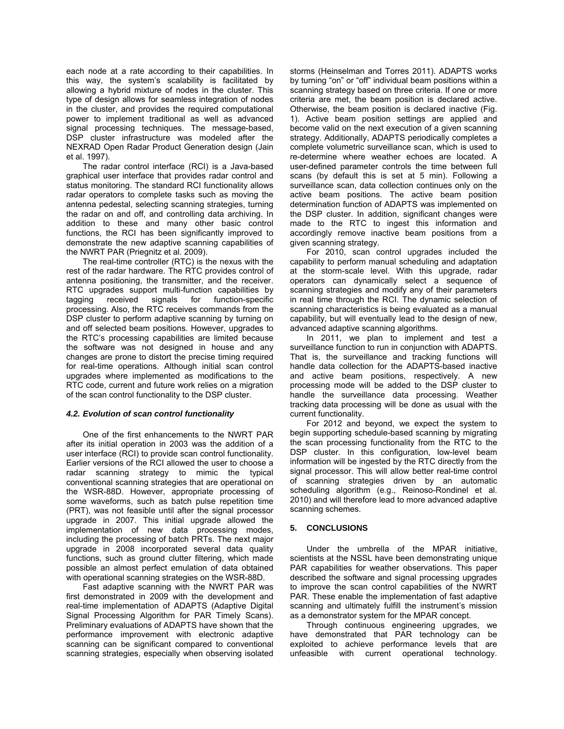each node at a rate according to their capabilities. In this way, the system's scalability is facilitated by allowing a hybrid mixture of nodes in the cluster. This type of design allows for seamless integration of nodes in the cluster, and provides the required computational power to implement traditional as well as advanced signal processing techniques. The message-based, DSP cluster infrastructure was modeled after the NEXRAD Open Radar Product Generation design (Jain et al. 1997).

The radar control interface (RCI) is a Java-based graphical user interface that provides radar control and status monitoring. The standard RCI functionality allows radar operators to complete tasks such as moving the antenna pedestal, selecting scanning strategies, turning the radar on and off, and controlling data archiving. In addition to these and many other basic control functions, the RCI has been significantly improved to demonstrate the new adaptive scanning capabilities of the NWRT PAR (Priegnitz et al. 2009).

The real-time controller (RTC) is the nexus with the rest of the radar hardware. The RTC provides control of antenna positioning, the transmitter, and the receiver. RTC upgrades support multi-function capabilities by tagging received signals for function-specific processing. Also, the RTC receives commands from the DSP cluster to perform adaptive scanning by turning on and off selected beam positions. However, upgrades to the RTC's processing capabilities are limited because the software was not designed in house and any changes are prone to distort the precise timing required for real-time operations. Although initial scan control upgrades where implemented as modifications to the RTC code, current and future work relies on a migration of the scan control functionality to the DSP cluster.

#### *4.2. Evolution of scan control functionality*

One of the first enhancements to the NWRT PAR after its initial operation in 2003 was the addition of a user interface (RCI) to provide scan control functionality. Earlier versions of the RCI allowed the user to choose a radar scanning strategy to mimic the typical conventional scanning strategies that are operational on the WSR-88D. However, appropriate processing of some waveforms, such as batch pulse repetition time (PRT), was not feasible until after the signal processor upgrade in 2007. This initial upgrade allowed the implementation of new data processing modes, including the processing of batch PRTs. The next major upgrade in 2008 incorporated several data quality functions, such as ground clutter filtering, which made possible an almost perfect emulation of data obtained with operational scanning strategies on the WSR-88D.

Fast adaptive scanning with the NWRT PAR was first demonstrated in 2009 with the development and real-time implementation of ADAPTS (Adaptive Digital Signal Processing Algorithm for PAR Timely Scans). Preliminary evaluations of ADAPTS have shown that the performance improvement with electronic adaptive scanning can be significant compared to conventional scanning strategies, especially when observing isolated

storms (Heinselman and Torres 2011). ADAPTS works by turning "on" or "off" individual beam positions within a scanning strategy based on three criteria. If one or more criteria are met, the beam position is declared active. Otherwise, the beam position is declared inactive (Fig. 1). Active beam position settings are applied and become valid on the next execution of a given scanning strategy. Additionally, ADAPTS periodically completes a complete volumetric surveillance scan, which is used to re-determine where weather echoes are located. A user-defined parameter controls the time between full scans (by default this is set at 5 min). Following a surveillance scan, data collection continues only on the active beam positions. The active beam position determination function of ADAPTS was implemented on the DSP cluster. In addition, significant changes were made to the RTC to ingest this information and accordingly remove inactive beam positions from a given scanning strategy.

For 2010, scan control upgrades included the capability to perform manual scheduling and adaptation at the storm-scale level. With this upgrade, radar operators can dynamically select a sequence of scanning strategies and modify any of their parameters in real time through the RCI. The dynamic selection of scanning characteristics is being evaluated as a manual capability, but will eventually lead to the design of new, advanced adaptive scanning algorithms.

In 2011, we plan to implement and test a surveillance function to run in conjunction with ADAPTS. That is, the surveillance and tracking functions will handle data collection for the ADAPTS-based inactive and active beam positions, respectively. A new processing mode will be added to the DSP cluster to handle the surveillance data processing. Weather tracking data processing will be done as usual with the current functionality.

For 2012 and beyond, we expect the system to begin supporting schedule-based scanning by migrating the scan processing functionality from the RTC to the DSP cluster. In this configuration, low-level beam information will be ingested by the RTC directly from the signal processor. This will allow better real-time control of scanning strategies driven by an automatic scheduling algorithm (e.g., Reinoso-Rondinel et al. 2010) and will therefore lead to more advanced adaptive scanning schemes.

## **5. CONCLUSIONS**

Under the umbrella of the MPAR initiative, scientists at the NSSL have been demonstrating unique PAR capabilities for weather observations. This paper described the software and signal processing upgrades to improve the scan control capabilities of the NWRT PAR. These enable the implementation of fast adaptive scanning and ultimately fulfill the instrument's mission as a demonstrator system for the MPAR concept.

Through continuous engineering upgrades, we have demonstrated that PAR technology can be exploited to achieve performance levels that are unfeasible with current operational technology.